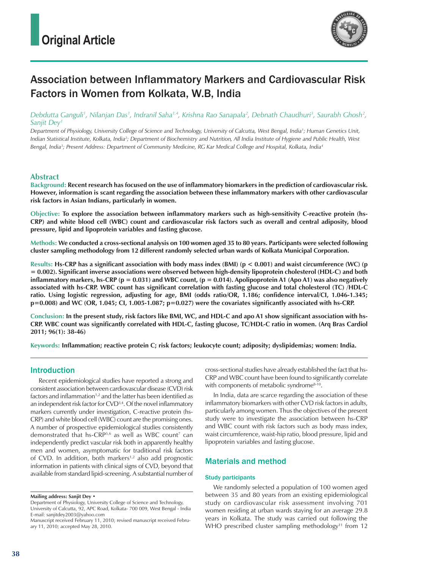

# Association between Inflammatory Markers and Cardiovascular Risk Factors in Women from Kolkata, W.B, India

*Debdutta Ganguli1 , Nilanjan Das1 , Indranil Saha1,4, Krishna Rao Sanapala2 , Debnath Chaudhuri3 , Saurabh Ghosh2 , Sanjit Dey1*

*Department of Physiology, University College of Science and Technology, University of Calcutta, West Bengal, India1 ; Human Genetics Unit, Indian Statistical Institute, Kolkata, India2 ; Department of Biochemistry and Nutrition, All India Institute of Hygiene and Public Health, West Bengal, India3 ; Present Address: Department of Community Medicine, RG Kar Medical College and Hospital, Kolkata, India4*

## **Abstract**

**Background: Recent research has focused on the use of inflammatory biomarkers in the prediction of cardiovascular risk. However, information is scant regarding the association between these inflammatory markers with other cardiovascular risk factors in Asian Indians, particularly in women.**

**Objective: To explore the association between inflammatory markers such as high-sensitivity C-reactive protein (hs-CRP) and white blood cell (WBC) count and cardiovascular risk factors such as overall and central adiposity, blood pressure, lipid and lipoprotein variables and fasting glucose.**

**Methods: We conducted a cross-sectional analysis on 100 women aged 35 to 80 years. Participants were selected following cluster sampling methodology from 12 different randomly selected urban wards of Kolkata Municipal Corporation.**

**Results: Hs-CRP has a significant association with body mass index (BMI) (p < 0.001) and waist circumference (WC) (p = 0.002). Significant inverse associations were observed between high-density lipoprotein cholesterol (HDL-C) and both**  inflammatory markers, hs-CRP ( $p = 0.031$ ) and WBC count, ( $p = 0.014$ ). Apolipoprotein A1 (Apo A1) was also negatively **associated with hs-CRP. WBC count has significant correlation with fasting glucose and total cholesterol (TC) /HDL-C ratio. Using logistic regression, adjusting for age, BMI (odds ratio/OR, 1.186; confidence interval/CI, 1.046-1.345; p=0.008) and WC (OR, 1.045; CI, 1.005-1.087; p=0.027) were the covariates significantly associated with hs-CRP.**

**Conclusion: In the present study, risk factors like BMI, WC, and HDL-C and apo A1 show significant association with hs-CRP. WBC count was significantly correlated with HDL-C, fasting glucose, TC/HDL-C ratio in women. (Arq Bras Cardiol 2011; 96(1): 38-46)**

**Keywords: Inflammation; reactive protein C; risk factors; leukocyte count; adiposity; dyslipidemias; women: India.**

## Introduction

Recent epidemiological studies have reported a strong and consistent association between cardiovascular disease (CVD) risk factors and inflammation<sup>1,2</sup> and the latter has been identified as an independent risk factor for CVD<sup>3,4</sup>. Of the novel inflammatory markers currently under investigation, C-reactive protein (hs-CRP) and white blood cell (WBC) count are the promising ones. A number of prospective epidemiological studies consistently demonstrated that hs-CRP<sup>5,6</sup> as well as WBC count<sup>7</sup> can independently predict vascular risk both in apparently healthy men and women, asymptomatic for traditional risk factors of CVD. In addition, both markers<sup>1,2</sup> also add prognostic information in patients with clinical signs of CVD, beyond that available from standard lipid-screening. A substantial number of

**Mailing address: Sanjit Dey •** 

cross-sectional studies have already established the fact that hs-CRP and WBC count have been found to significantly correlate with components of metabolic syndrome $8-10$ .

In India, data are scarce regarding the association of these inflammatory biomarkers with other CVD risk factors in adults, particularly among women. Thus the objectives of the present study were to investigate the association between hs-CRP and WBC count with risk factors such as body mass index, waist circumference, waist-hip ratio, blood pressure, lipid and lipoprotein variables and fasting glucose.

## Materials and method

### Study participants

We randomly selected a population of 100 women aged between 35 and 80 years from an existing epidemiological study on cardiovascular risk assessment involving 701 women residing at urban wards staying for an average 29.8 years in Kolkata. The study was carried out following the WHO prescribed cluster sampling methodology<sup>11</sup> from 12

Department of Physiology, University College of Science and Technology, University of Calcutta, 92, APC Road, Kolkata- 700 009, West Bengal - India E-mail: sanjitdey2003@yahoo.com

Manuscript received February 11, 2010; revised manuscript received February 11, 2010; accepted May 28, 2010.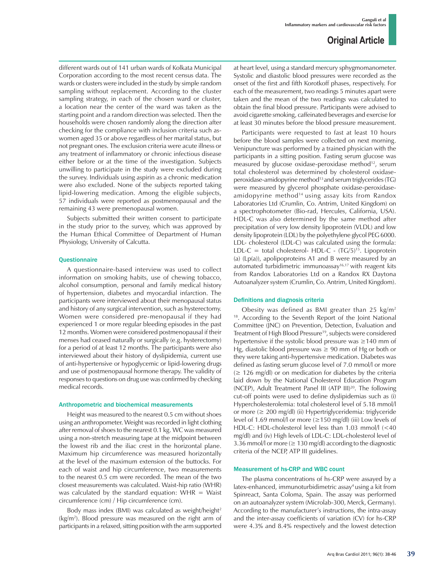different wards out of 141 urban wards of Kolkata Municipal Corporation according to the most recent census data. The wards or clusters were included in the study by simple random sampling without replacement. According to the cluster sampling strategy, in each of the chosen ward or cluster, a location near the center of the ward was taken as the starting point and a random direction was selected. Then the households were chosen randomly along the direction after checking for the compliance with inclusion criteria such aswomen aged 35 or above regardless of her marital status, but not pregnant ones. The exclusion criteria were acute illness or any treatment of inflammatory or chronic infectious disease either before or at the time of the investigation. Subjects unwilling to participate in the study were excluded during the survey. Individuals using aspirin as a chronic medication were also excluded. None of the subjects reported taking lipid-lowering medication. Among the eligible subjects, 57 individuals were reported as postmenopausal and the remaining 43 were premenopausal women.

Subjects submitted their written consent to participate in the study prior to the survey, which was approved by the Human Ethical Committee of Department of Human Physiology, University of Calcutta.

#### **Questionnaire**

A questionnaire-based interview was used to collect information on smoking habits, use of chewing tobacco, alcohol consumption, personal and family medical history of hypertension, diabetes and myocardial infarction. The participants were interviewed about their menopausal status and history of any surgical intervention, such as hysterectomy. Women were considered pre-menopausal if they had experienced 1 or more regular bleeding episodes in the past 12 months. Women were considered postmenopausal if their menses had ceased naturally or surgically (e.g. hysterectomy) for a period of at least 12 months. The participants were also interviewed about their history of dyslipidemia, current use of anti-hypertensive or hypoglycemic or lipid-lowering drugs and use of postmenopausal hormone therapy. The validity of responses to questions on drug use was confirmed by checking medical records.

#### Anthropometric and biochemical measurements

Height was measured to the nearest 0.5 cm without shoes using an anthropometer. Weight was recorded in light clothing after removal of shoes to the nearest 0.1 kg. WC was measured using a non-stretch measuring tape at the midpoint between the lowest rib and the iliac crest in the horizontal plane. Maximum hip circumference was measured horizontally at the level of the maximum extension of the buttocks. For each of waist and hip circumference, two measurements to the nearest 0.5 cm were recorded. The mean of the two closest measurements was calculated. Waist-hip ratio (WHR) was calculated by the standard equation:  $WHR = W$ aist circumference (cm) / Hip circumference (cm).

Body mass index (BMI) was calculated as weight/height<sup>2</sup> (kg/m<sup>2</sup>). Blood pressure was measured on the right arm of participants in a relaxed, sitting position with the arm supported

at heart level, using a standard mercury sphygmomanometer. Systolic and diastolic blood pressures were recorded as the onset of the first and fifth Korotkoff phases, respectively. For each of the measurement, two readings 5 minutes apart were taken and the mean of the two readings was calculated to obtain the final blood pressure. Participants were advised to avoid cigarette smoking, caffeinated beverages and exercise for at least 30 minutes before the blood pressure measurement.

Participants were requested to fast at least 10 hours before the blood samples were collected on next morning. Venipuncture was performed by a trained physician with the participants in a sitting position. Fasting serum glucose was measured by glucose oxidase-peroxidase method<sup>12</sup>, serum total cholesterol was determined by cholesterol oxidaseperoxidase-amidopyrine method13 and serum triglycerides (TG) were measured by glycerol phosphate oxidase-peroxidaseamidopyrine method<sup>14</sup> using assay kits from Randox Laboratories Ltd (Crumlin, Co. Antrim, United Kingdom) on a spectrophotometer (Bio-rad, Hercules, California, USA). HDL-C was also determined by the same method after precipitation of very low density lipoprotein (VLDL) and low density lipoprotein (LDL) by the polyethylene glycol PEG 6000. LDL- cholesterol (LDL-C) was calculated using the formula: LDL-C = total cholesterol- HDL-C -  $(TG/5)^{15}$ . Lipoprotein (a) (Lp(a)), apolipoproteins A1 and B were measured by an automated turbidimetric immunoassay<sup>16,17</sup> with reagent kits from Randox Laboratories Ltd on a Randox RX Daytona Autoanalyzer system (Crumlin, Co. Antrim, United Kingdom).

### Definitions and diagnosis criteria

Obesity was defined as BMI greater than 25  $kg/m<sup>2</sup>$ 18. According to the Seventh Report of the Joint National Committee (JNC) on Prevention, Detection, Evaluation and Treatment of High Blood Pressure<sup>19</sup>, subjects were considered hypertensive if the systolic blood pressure was ≥140 mm of Hg, diastolic blood pressure was  $\geq 90$  mm of Hg or both or they were taking anti-hypertensive medication. Diabetes was defined as fasting serum glucose level of 7.0 mmol/l or more  $(\geq 126 \text{ mg/d})$  or on medication for diabetes by the criteria laid down by the National Cholesterol Education Program (NCEP), Adult Treatment Panel III (ATP III)<sup>20</sup>. The following cut-off points were used to define dyslipidemias such as (i) Hypercholesterolemia: total cholesterol level of 5.18 mmol/l or more (≥ 200 mg/dl) (ii) Hypertriglyceridemia: triglyceride level of 1.69 mmol/l or more (≥150 mg/dl) (iii) Low levels of HDL-C: HDL-cholesterol level less than 1.03 mmol/l (<40 mg/dl) and (iv) High levels of LDL-C: LDL-cholesterol level of 3.36 mmol/l or more ( $\geq 130$  mg/dl) according to the diagnostic criteria of the NCEP, ATP III guidelines.

### Measurement of hs-CRP and WBC count

The plasma concentrations of hs-CRP were assayed by a latex-enhanced, immunoturbidimetric assay<sup>4</sup> using a kit from Spinreact, Santa Coloma, Spain. The assay was performed on an autoanalyzer system (Microlab-300, Merck, Germany). According to the manufacturer's instructions, the intra-assay and the inter-assay coefficients of variation (CV) for hs-CRP were 4.3% and 8.4% respectively and the lowest detection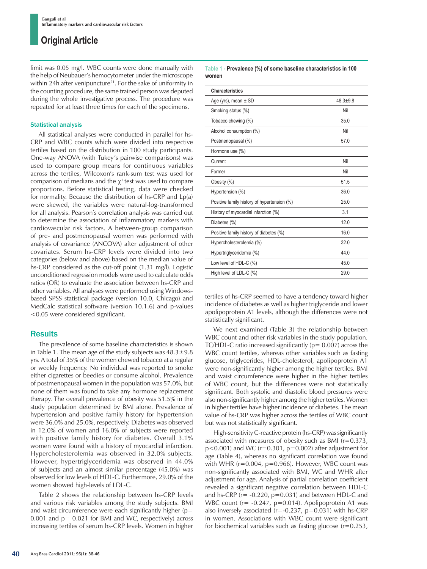limit was 0.05 mg/l. WBC counts were done manually with the help of Neubauer's hemocytometer under the microscope within 24h after venipuncture<sup>21</sup>. For the sake of uniformity in the counting procedure, the same trained person was deputed during the whole investigative process. The procedure was repeated for at least three times for each of the specimens.

## Statistical analysis

All statistical analyses were conducted in parallel for hs-CRP and WBC counts which were divided into respective tertiles based on the distribution in 100 study participants. One-way ANOVA (with Tukey's pairwise comparisons) was used to compare group means for continuous variables across the tertiles, Wilcoxon's rank-sum test was used for comparison of medians and the  $\chi^2$  test was used to compare proportions. Before statistical testing, data were checked for normality. Because the distribution of hs-CRP and Lp(a) were skewed, the variables were natural-log-transformed for all analysis. Pearson's correlation analysis was carried out to determine the association of inflammatory markers with cardiovascular risk factors. A between-group comparison of pre- and postmenopausal women was performed with analysis of covariance (ANCOVA) after adjustment of other covariates. Serum hs-CRP levels were divided into two categories (below and above) based on the median value of hs-CRP considered as the cut-off point (1.31 mg/l). Logistic unconditioned regression models were used to calculate odds ratios (OR) to evaluate the association between hs-CRP and other variables. All analyses were performed using Windowsbased SPSS statistical package (version 10.0, Chicago) and MedCalc statistical software (version 10.1.6) and p-values <0.05 were considered significant.

## **Results**

The prevalence of some baseline characteristics is shown in Table 1. The mean age of the study subjects was  $48.3 \pm 9.8$ yrs. A total of 35% of the women chewed tobacco at a regular or weekly frequency. No individual was reported to smoke either cigarettes or beedies or consume alcohol. Prevalence of postmenopausal women in the population was 57.0%, but none of them was found to take any hormone replacement therapy. The overall prevalence of obesity was 51.5% in the study population determined by BMI alone. Prevalence of hypertension and positive family history for hypertension were 36.0% and 25.0%, respectively. Diabetes was observed in 12.0% of women and 16.0% of subjects were reported with positive family history for diabetes. Overall 3.1% women were found with a history of myocardial infarction. Hypercholesterolemia was observed in 32.0% subjects. However, hypertriglyceridemia was observed in 44.0% of subjects and an almost similar percentage (45.0%) was observed for low levels of HDL-C. Furthermore, 29.0% of the women showed high-levels of LDL-C.

Table 2 shows the relationship between hs-CRP levels and various risk variables among the study subjects. BMI and waist circumference were each significantly higher ( $p=$ 0.001 and  $p = 0.021$  for BMI and WC, respectively) across increasing tertiles of serum hs-CRP levels. Women in higher

| <b>Characteristics</b>                      |              |
|---------------------------------------------|--------------|
| Age (yrs), mean $\pm$ SD                    | $48.3 + 9.8$ |
| Smoking status (%)                          | Nil          |
| Tobacco chewing (%)                         | 35.0         |
| Alcohol consumption (%)                     | Nil          |
| Postmenopausal (%)                          | 57.0         |
| Hormone use (%)                             |              |
| Current                                     | Nil          |
| Former                                      | Nil          |
| Obesity (%)                                 | 51.5         |
| Hypertension (%)                            | 36.0         |
| Positive family history of hypertension (%) | 25.0         |
| History of myocardial infarction (%)        | 3.1          |
| Diabetes (%)                                | 12.0         |
| Positive family history of diabetes (%)     | 16.0         |
| Hypercholesterolemia (%)                    | 32.0         |
| Hypertriglyceridemia (%)                    | 44.0         |
| Low level of HDL-C (%)                      | 45.0         |
| High level of LDL-C (%)                     | 29.0         |

tertiles of hs-CRP seemed to have a tendency toward higher incidence of diabetes as well as higher triglyceride and lower apolipoprotein A1 levels, although the differences were not statistically significant.

We next examined (Table 3) the relationship between WBC count and other risk variables in the study population.  $TC/HDL-C$  ratio increased significantly ( $p= 0.007$ ) across the WBC count tertiles, whereas other variables such as fasting glucose, triglycerides, HDL-cholesterol, apolipoprotein A1 were non-significantly higher among the higher tertiles. BMI and waist circumference were higher in the higher tertiles of WBC count, but the differences were not statistically significant. Both systolic and diastolic blood pressures were also non-significantly higher among the higher tertiles. Women in higher tertiles have higher incidence of diabetes. The mean value of hs-CRP was higher across the tertiles of WBC count but was not statistically significant.

High-sensitivity C-reactive protein (hs-CRP) was significantly associated with measures of obesity such as BMI (r=0.373,  $p$ <0.001) and WC (r=0.301,  $p$ =0.002) after adjustment for age (Table 4), whereas no significant correlation was found with WHR (r=0.004, p=0.966). However, WBC count was non-significantly associated with BMI, WC and WHR after adjustment for age. Analysis of partial correlation coefficient revealed a significant negative correlation between HDL-C and hs-CRP (r= -0.220, p=0.031) and between HDL-C and WBC count (r= -0.247, p=0.014). Apolipoprotein A1 was also inversely associated ( $r = -0.237$ ,  $p = 0.031$ ) with hs-CRP in women. Associations with WBC count were significant for biochemical variables such as fasting glucose  $(r=0.253)$ ,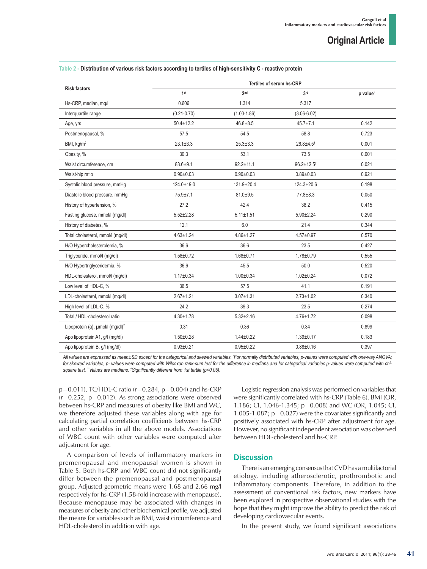|                                   | Tertiles of serum hs-CRP |                 |                              |          |  |  |
|-----------------------------------|--------------------------|-----------------|------------------------------|----------|--|--|
| <b>Risk factors</b>               | 1 <sup>st</sup>          | 2 <sub>nd</sub> | 3 <sup>rd</sup>              | p value' |  |  |
| Hs-CRP, median, mg/l              | 0.606                    | 1.314           | 5.317                        |          |  |  |
| Interquartile range               | $(0.21 - 0.70)$          | $(1.00 - 1.86)$ | $(3.06 - 6.02)$              |          |  |  |
| Age, yrs                          | $50.4 \pm 12.2$          | $46.8 \pm 8.5$  | $45.7 \pm 7.1$               | 0.142    |  |  |
| Postmenopausal, %                 | 57.5                     | 54.5            | 58.8                         | 0.723    |  |  |
| BMI, $kg/m2$                      | $23.1 \pm 3.3$           | $25.3 \pm 3.3$  | $26.8 + 4.5$ <sup>t</sup>    | 0.001    |  |  |
| Obesity, %                        | 30.3                     | 53.1            | 73.5                         | 0.001    |  |  |
| Waist circumference, cm           | $88.6 + 9.1$             | $92.2 \pm 11.1$ | $96.2 \pm 12.5$ <sup>t</sup> | 0.021    |  |  |
| Waist-hip ratio                   | $0.90 + 0.03$            | $0.90 + 0.03$   | $0.89 + 0.03$                | 0.921    |  |  |
| Systolic blood pressure, mmHg     | $124.0 \pm 19.0$         | 131.9±20.4      | $124.3 \pm 20.6$             | 0.198    |  |  |
| Diastolic blood pressure, mmHg    | $75.9 \pm 7.1$           | $81.0 \pm 9.5$  | $77.8 \pm 8.3$               | 0.050    |  |  |
| History of hypertension, %        | 27.2                     | 42.4            | 38.2                         | 0.415    |  |  |
| Fasting glucose, mmol/l (mg/dl)   | $5.52 \pm 2.28$          | $5.11 \pm 1.51$ | $5.90 \pm 2.24$              | 0.290    |  |  |
| History of diabetes, %            | 12.1                     | 6.0             | 21.4                         | 0.344    |  |  |
| Total cholesterol, mmol/l (mq/dl) | $4.63 \pm 1.24$          | $4.86 \pm 1.27$ | $4.57 + 0.97$                | 0.570    |  |  |
| H/O Hypercholesterolemia, %       | 36.6                     | 36.6            | 23.5                         | 0.427    |  |  |
| Triglyceride, mmol/l (mg/dl)      | $1.58 + 0.72$            | $1.68 + 0.71$   | $1.78 + 0.79$                | 0.555    |  |  |
| H/O Hypertriglyceridemia, %       | 36.6                     | 45.5            | 50.0                         | 0.520    |  |  |
| HDL-cholesterol, mmol/l (mg/dl)   | $1.17 \pm 0.34$          | $1.00 \pm 0.34$ | $1.02 \pm 0.24$              | 0.072    |  |  |
| Low level of HDL-C, %             | 36.5                     | 57.5            | 41.1                         | 0.191    |  |  |
| LDL-cholesterol, mmol/l (mg/dl)   | $2.67 \pm 1.21$          | $3.07 + 1.31$   | $2.73 \pm 1.02$              | 0.340    |  |  |
| High level of LDL-C, %            | 24.2                     | 39.3            | 23.5                         | 0.274    |  |  |
| Total / HDL-cholesterol ratio     | $4.30 \pm 1.78$          | $5.32 \pm 2.16$ | $4.76 \pm 1.72$              | 0.098    |  |  |
| Lipoprotein (a), µmol/l (mg/dl)"  | 0.31                     | 0.36            | 0.34                         | 0.899    |  |  |
| Apo lipoprotein A1, g/l (mg/dl)   | $1.50 + 0.28$            | $1.44 \pm 0.22$ | $1.39 + 0.17$                | 0.183    |  |  |
| Apo lipoprotein B, g/l (mg/dl)    | $0.93 + 0.21$            | $0.95 \pm 0.22$ | $0.88 + 0.16$                | 0.397    |  |  |
|                                   |                          |                 |                              |          |  |  |

## **Table 2 - Distribution of various risk factors according to tertiles of high-sensitivity C - reactive protein**

*All values are expressed as mean±SD except for the categorical and skewed variables. \* For normally distributed variables, p-values were computed with one-way ANOVA; for skewed variables, p- values were computed with Wilcoxon rank-sum test for the difference in medians and for categorical variables p-values were computed with chisquare test. \*\*Values are medians. † Significantly different from 1st tertile (p<0.05).*

 $p=0.011$ ), TC/HDL-C ratio ( $r=0.284$ ,  $p=0.004$ ) and hs-CRP  $(r=0.252, p=0.012)$ . As strong associations were observed between hs-CRP and measures of obesity like BMI and WC, we therefore adjusted these variables along with age for calculating partial correlation coefficients between hs-CRP and other variables in all the above models. Associations of WBC count with other variables were computed after adjustment for age.

A comparison of levels of inflammatory markers in premenopausal and menopausal women is shown in Table 5. Both hs-CRP and WBC count did not significantly differ between the premenopausal and postmenopausal group. Adjusted geometric means were 1.68 and 2.66 mg/l respectively for hs-CRP (1.58-fold increase with menopause). Because menopause may be associated with changes in measures of obesity and other biochemical profile, we adjusted the means for variables such as BMI, waist circumference and HDL-cholesterol in addition with age.

Logistic regression analysis was performed on variables that were significantly correlated with hs-CRP (Table 6). BMI (OR, 1.186; CI, 1.046-1.345; p=0.008) and WC (OR, 1.045; CI, 1.005-1.087; p=0.027) were the covariates significantly and positively associated with hs-CRP after adjustment for age. However, no significant independent association was observed between HDL-cholesterol and hs-CRP.

## **Discussion**

There is an emerging consensus that CVD has a multifactorial etiology, including atherosclerotic, prothrombotic and inflammatory components. Therefore, in addition to the assessment of conventional risk factors, new markers have been explored in prospective observational studies with the hope that they might improve the ability to predict the risk of developing cardiovascular events.

In the present study, we found significant associations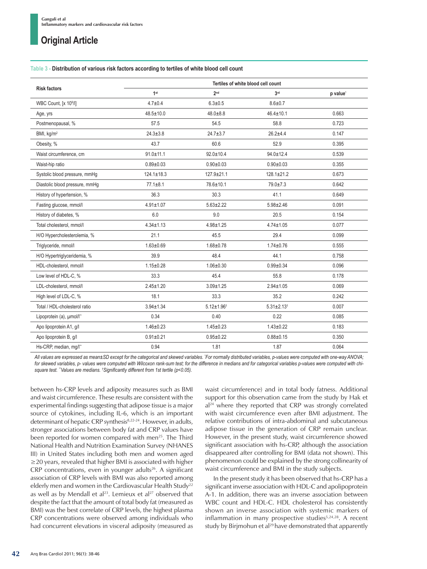#### **Table 3 - Distribution of various risk factors according to tertiles of white blood cell count**

|                                   | Tertiles of white blood cell count |                              |                              |          |  |  |
|-----------------------------------|------------------------------------|------------------------------|------------------------------|----------|--|--|
| <b>Risk factors</b>               | 1 <sup>st</sup>                    | 2 <sub>nd</sub>              | 3 <sub>rd</sub>              | p value' |  |  |
| WBC Count, [x 10 <sup>9</sup> /l] | $4.7 \pm 0.4$                      | $6.3 + 0.5$                  | $8.6 + 0.7$                  |          |  |  |
| Age, yrs                          | $48.5 \pm 10.0$                    | $48.0 + 8.8$                 | $46.4 \pm 10.1$              | 0.663    |  |  |
| Postmenopausal, %                 | 57.5                               | 54.5                         | 58.8                         | 0.723    |  |  |
| BMI, $kg/m2$                      | $24.3 \pm 3.8$                     | $24.7 + 3.7$                 | $26.2 + 4.4$                 | 0.147    |  |  |
| Obesity, %                        | 43.7                               | 60.6                         | 52.9                         | 0.395    |  |  |
| Waist circumference, cm           | $91.0 \pm 11.1$                    | $92.0 \pm 10.4$              | $94.0 \pm 12.4$              | 0.539    |  |  |
| Waist-hip ratio                   | $0.89 + 0.03$                      | $0.90 + 0.03$                | $0.90 + 0.03$                | 0.355    |  |  |
| Systolic blood pressure, mmHg     | $124.1 \pm 18.3$                   | $127.9 + 21.1$               | $128.1 \pm 21.2$             | 0.673    |  |  |
| Diastolic blood pressure, mmHg    | $77.1 \pm 8.1$                     | 78.6±10.1                    | $79.0 \pm 7.3$               | 0.642    |  |  |
| History of hypertension, %        | 36.3                               | 30.3                         | 41.1                         | 0.649    |  |  |
| Fasting glucose, mmol/l           | $4.91 \pm 1.07$                    | $5.63 \pm 2.22$              | $5.98 \pm 2.46$              | 0.091    |  |  |
| History of diabetes, %            | 6.0                                | 9.0                          | 20.5                         | 0.154    |  |  |
| Total cholesterol, mmol/l         | $4.34 \pm 1.13$                    | $4.98 + 1.25$                | $4.74 \pm 1.05$              | 0.077    |  |  |
| H/O Hypercholesterolemia, %       | 21.1                               | 45.5                         | 29.4                         | 0.099    |  |  |
| Triglyceride, mmol/l              | $1.63 + 0.69$                      | $1.68 + 0.78$                | $1.74 \pm 0.76$              | 0.555    |  |  |
| H/O Hypertriglyceridemia, %       | 39.9                               | 48.4                         | 44.1                         | 0.758    |  |  |
| HDL-cholesterol, mmol/l           | $1.15 \pm 0.28$                    | $1.06 \pm 0.30$              | $0.99 + 0.34$                | 0.096    |  |  |
| Low level of HDL-C, %             | 33.3                               | 45.4                         | 55.8                         | 0.178    |  |  |
| LDL-cholesterol, mmol/l           | $2.45 \pm 1.20$                    | $3.09 + 1.25$                | $2.94 \pm 1.05$              | 0.069    |  |  |
| High level of LDL-C, %            | 18.1                               | 33.3                         | 35.2                         | 0.242    |  |  |
| Total / HDL-cholesterol ratio     | $3.94 \pm 1.34$                    | $5.12 \pm 1.96$ <sup>t</sup> | $5.31 \pm 2.13$ <sup>t</sup> | 0.007    |  |  |
| Lipoprotein (a), µmol/l"          | 0.34                               | 0.40                         | 0.22                         |          |  |  |
| Apo lipoprotein A1, g/l           | $1.46 \pm 0.23$                    | $1.45 \pm 0.23$              | $1.43 \pm 0.22$              | 0.183    |  |  |
| Apo lipoprotein B, g/l            | $0.91 \pm 0.21$                    | $0.95 \pm 0.22$              | $0.88 + 0.15$                | 0.350    |  |  |
| Hs-CRP, median, mg/l"             | 0.94                               | 1.81                         | 1.87                         | 0.064    |  |  |

*All values are expressed as mean±SD except for the categorical and skewed variables. \* For normally distributed variables, p-values were computed with one-way ANOVA; for skewed variables, p- values were computed with Wilcoxon rank-sum test; for the difference in medians and for categorical variables p-values were computed with chisquare test. \*\*Values are medians. † Significantly different from 1st tertile (p<0.05).*

between hs-CRP levels and adiposity measures such as BMI and waist circumference. These results are consistent with the experimental findings suggesting that adipose tissue is a major source of cytokines, including IL-6, which is an important determinant of hepatic CRP synthesis<sup>8,22-24</sup>. However, in adults, stronger associations between body fat and CRP values have been reported for women compared with men<sup>25</sup>. The Third National Health and Nutrition Examination Survey (NHANES III) in United States including both men and women aged ≥20 years, revealed that higher BMI is associated with higher  $CRP$  concentrations, even in younger adults<sup>26</sup>. A significant association of CRP levels with BMI was also reported among elderly men and women in the Cardiovascular Health Study<sup>22</sup> as well as by Mendall et al<sup>23</sup>. Lemieux et al<sup>27</sup> observed that despite the fact that the amount of total body fat (measured as BMI) was the best correlate of CRP levels, the highest plasma CRP concentrations were observed among individuals who had concurrent elevations in visceral adiposity (measured as waist circumference) and in total body fatness. Additional support for this observation came from the study by Hak et al<sup>24</sup> where they reported that CRP was strongly correlated with waist circumference even after BMI adjustment. The relative contributions of intra-abdominal and subcutaneous adipose tissue in the generation of CRP remain unclear. However, in the present study, waist circumference showed significant association with hs-CRP, although the association disappeared after controlling for BMI (data not shown). This phenomenon could be explained by the strong collinearity of waist circumference and BMI in the study subjects.

In the present study it has been observed that hs-CRP has a significant inverse association with HDL-C and apolipoprotein A-1. In addition, there was an inverse association between WBC count and HDL-C. HDL cholesterol has consistently shown an inverse association with systemic markers of inflammation in many prospective studies<sup>5,24,28</sup>. A recent study by Birjmohun et al<sup>29</sup> have demonstrated that apparently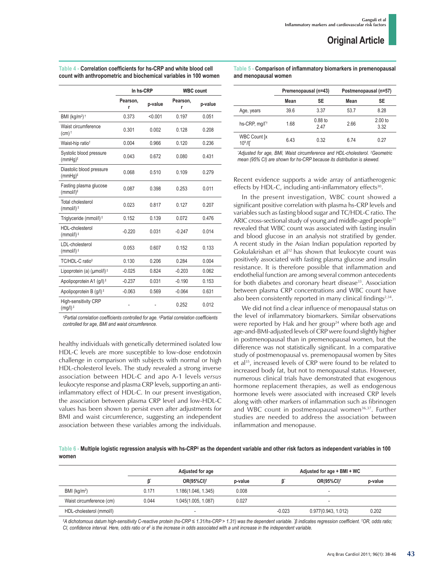|                                                      | In hs-CRP     |         | <b>WBC</b> count |         |  |
|------------------------------------------------------|---------------|---------|------------------|---------|--|
|                                                      | Pearson.<br>r | p-value | Pearson,<br>r    | p-value |  |
| BMI (kg/m <sup>2</sup> ) <sup>+</sup>                | 0.373         | < 0.001 | 0.197            | 0.051   |  |
| Waist circumference<br>$(cm)$ <sup>†</sup>           | 0.301         | 0.002   | 0.128            | 0.208   |  |
| Waist-hip ratio <sup>†</sup>                         | 0.004         | 0.966   | 0.120            | 0.236   |  |
| Systolic blood pressure<br>$(mmHg)$ <sup>#</sup>     | 0.043         | 0.672   | 0.080            | 0.431   |  |
| Diastolic blood pressure<br>$(mmHq)$ <sup>#</sup>    | 0.068         | 0.510   | 0.109            | 0.279   |  |
| Fasting plasma glucose<br>$(mmol/l)^{\ddagger}$      | 0.087         | 0.398   | 0.253            | 0.011   |  |
| Total cholesterol<br>$(mmol/l)$ <sup>#</sup>         | 0.023         | 0.817   | 0.127            | 0.207   |  |
| Triglyceride (mmol/l) <sup>‡</sup>                   | 0.152         | 0.139   | 0.072            | 0.476   |  |
| HDL-cholesterol<br>$(mmol/l)$ <sup>#</sup>           | $-0.220$      | 0.031   | $-0.247$         | 0.014   |  |
| LDL-cholesterol<br>$(mmol/l)$ <sup>#</sup>           | 0.053         | 0.607   | 0.152            | 0.133   |  |
| TC/HDL-C ratio <sup>#</sup>                          | 0.130         | 0.206   | 0.284            | 0.004   |  |
| Lipoprotein (a) $(\mu \text{mol/l})^{\ddagger}$      | $-0.025$      | 0.824   | $-0.203$         | 0.062   |  |
| Apolipoprotein A1 (g/l) <sup>‡</sup>                 | $-0.237$      | 0.031   | $-0.190$         | 0.153   |  |
| Apolipoprotein B (g/l) <sup>‡</sup>                  | $-0.063$      | 0.569   | $-0.064$         | 0.631   |  |
| <b>High-sensitivity CRP</b><br>$(mg/l)$ <sup>#</sup> |               |         | 0.252            | 0.012   |  |

**Table 4 - Correlation coefficients for hs-CRP and white blood cell count with anthropometric and biochemical variables in 100 women**

*† Partial correlation coefficients controlled for age. ‡ Partial correlation coefficients controlled for age, BMI and waist circumference.*

healthy individuals with genetically determined isolated low HDL-C levels are more susceptible to low-dose endotoxin challenge in comparison with subjects with normal or high HDL-cholesterol levels. The study revealed a strong inverse association between HDL-C and apo A-1 levels *versus* leukocyte response and plasma CRP levels, supporting an antiinflammatory effect of HDL-C. In our present investigation, the association between plasma CRP level and low-HDL-C values has been shown to persist even after adjustments for BMI and waist circumference, suggesting an independent association between these variables among the individuals.

**Table 5 - Comparison of inflammatory biomarkers in premenopausal and menopausal women**

|                                                | Premenopausal (n=43) |                 | Postmenopausal (n=57) |                   |  |
|------------------------------------------------|----------------------|-----------------|-----------------------|-------------------|--|
|                                                | Mean                 | SE              | Mean                  | SE                |  |
| Age, years                                     | 39.6                 | 3.37            | 53.7                  | 8.28              |  |
| hs-CRP, mg/l <sup>*†</sup>                     | 1.68                 | 0.88 to<br>2.47 | 2.66                  | $2.00$ to<br>3.32 |  |
| <b>WBC Count [x</b><br>$10^9$ /l] <sup>*</sup> | 6.43                 | 0.32            | 6.74                  | 0.27              |  |

*\* Adjusted for age, BMI, Waist circumference and HDL-cholesterol. † Geometric mean (95% CI) are shown for hs-CRP because its distribution is skewed.*

Recent evidence supports a wide array of antiatherogenic effects by HDL-C, including anti-inflammatory effects<sup>30</sup>.

In the present investigation, WBC count showed a significant positive correlation with plasma hs-CRP levels and variables such as fasting blood sugar and TC/HDL-C ratio. The ARIC cross-sectional study of young and middle-aged people<sup>31</sup> revealed that WBC count was associated with fasting insulin and blood glucose in an analysis not stratified by gender. A recent study in the Asian Indian population reported by Gokulakrishan et al $32$  has shown that leukocyte count was positively associated with fasting plasma glucose and insulin resistance. It is therefore possible that inflammation and endothelial function are among several common antecedents for both diabetes and coronary heart disease<sup>33</sup>. Association between plasma CRP concentrations and WBC count have also been consistently reported in many clinical findings $2,34$ .

We did not find a clear influence of menopausal status on the level of inflammatory biomarkers. Similar observations were reported by Hak and her group<sup>24</sup> where both age and age-and-BMI-adjusted levels of CRP were found slightly higher in postmenopausal than in premenopausal women, but the difference was not statistically significant. In a comparative study of postmenopausal vs. premenopausal women by Sites et al<sup>35</sup>, increased levels of CRP were found to be related to increased body fat, but not to menopausal status. However, numerous clinical trials have demonstrated that exogenous hormone replacement therapies, as well as endogenous hormone levels were associated with increased CRP levels along with other markers of inflammation such as fibrinogen and WBC count in postmenopausal women<sup>36,37</sup>. Further studies are needed to address the association between inflammation and menopause.

**Table 6 - Multiple logistic regression analysis with hs-CRP‡ as the dependent variable and other risk factors as independent variables in 100 women**

|                          | Adjusted for age |                          |         | Adjusted for age + BMI + WC |                          |         |
|--------------------------|------------------|--------------------------|---------|-----------------------------|--------------------------|---------|
|                          |                  | OR(95%CI) <sup>+</sup>   | p-value |                             | OR(95%CI) <sup>+</sup>   | p-value |
| BMI (kg/m <sup>2</sup> ) | 0.171            | 1.186(1.046, 1.345)      | 0.008   |                             | $\overline{\phantom{a}}$ |         |
| Waist circumference (cm) | 0.044            | 1.045(1.005, 1.087)      | 0.027   |                             | $\overline{\phantom{a}}$ |         |
| HDL-cholesterol (mmol/l) |                  | $\overline{\phantom{a}}$ |         | $-0.023$                    | 0.977(0.943, 1.012)      | 0.202   |

*‡A dichotomous datum high-sensitivity C-reactive protein (hs-CRP ≤ 1.31/hs-CRP > 1.31) was the dependent variable. <sup>\*</sup>β indicates regression coefficient. <sup>†</sup>OR, odds ratio;* CI, confidence interval. Here, odds ratio or e<sup>β</sup> is the increase in odds associated with a unit increase in the independent variable.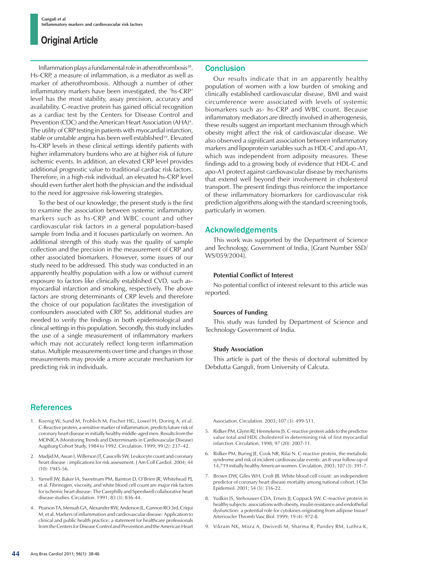Inflammation plays a fundamental role in atherothrombosis<sup>38</sup>. Hs-CRP, a measure of inflammation, is a mediator as well as marker of atherothrombosis. Although a number of other inflammatory markers have been investigated, the 'hs-CRP' level has the most stability, assay precision, accuracy and availability. C-reactive protein has gained official recognition as a cardiac test by the Centers for Disease Control and Prevention (CDC) and the American Heart Association (AHA)<sup>4</sup>. The utility of CRP testing in patients with myocardial infarction, stable or unstable angina has been well established<sup>39</sup>. Elevated hs-CRP levels in these clinical settings identify patients with higher inflammatory burdens who are at higher risk of future ischemic events. In addition, an elevated CRP level provides additional prognostic value to traditional cardiac risk factors. Therefore, in a high-risk individual, an elevated hs-CRP level should even further alert both the physician and the individual to the need for aggressive risk-lowering strategies.

To the best of our knowledge, the present study is the first to examine the association between systemic inflammatory markers such as hs-CRP and WBC count and other cardiovascular risk factors in a general population-based sample from India and it focuses particularly on women. An additional strength of this study was the quality of sample collection and the precision in the measurement of CRP and other associated biomarkers. However, some issues of our study need to be addressed. This study was conducted in an apparently healthy population with a low or without current exposure to factors like clinically established CVD, such asmyocardial infarction and smoking, respectively. The above factors are strong determinants of CRP levels and therefore the choice of our population facilitates the investigation of confounders associated with CRP. So, additional studies are needed to verify the findings in both epidemiological and clinical settings in this population. Secondly, this study includes the use of a single measurement of inflammatory markers which may not accurately reflect long-term inflammation status. Multiple measurements over time and changes in those measurements may provide a more accurate mechanism for predicting risk in individuals.

## **Conclusion**

Our results indicate that in an apparently healthy population of women with a low burden of smoking and clinically established cardiovascular disease, BMI and waist circumference were associated with levels of systemic biomarkers such as- hs-CRP and WBC count. Because inflammatory mediators are directly involved in atherogenesis, these results suggest an important mechanism through which obesity might affect the risk of cardiovascular disease. We also observed a significant association between inflammatory markers and lipoprotein variables such as HDL-C and apo-A1, which was independent from adiposity measures. These findings add to a growing body of evidence that HDL-C and apo-A1 protect against cardiovascular disease by mechanisms that extend well beyond their involvement in cholesterol transport. The present findings thus reinforce the importance of these inflammatory biomarkers for cardiovascular risk prediction algorithms along with the standard screening tools, particularly in women.

## Acknowledgements

This work was supported by the Department of Science and Technology, Government of India, [Grant Number SSD/ WS/059/2004].

### **Potential Conflict of Interest**

No potential conflict of interest relevant to this article was reported.

### **Sources of Funding**

This study was funded by Department of Science and Technology Government of India.

### **Study Association**

This article is part of the thesis of doctoral submitted by Debdutta Ganguli, from University of Calcuta.

## **References**

- 1. Koenig W, Sund M, Frohlich M, Fischer HG, Lowel H, Doring A, et al. C-Reactive protein, a sensitive marker of inflammation, predicts future risk of coronary heart disease in initially healthy middle-aged men. Results from the MONICA (Monitoring Trends and Determinants in Cardiovascular Disease) Augsburg Cohort Study, 1984 to 1992. Circulation. 1999; 99 (2): 237–42.
- 2. Madjid M, Awan I, Willerson JT, Casscells SW. Leukocyte count and coronary heart disease : implications for risk assessment. J Am Coll Cardiol. 2004; 44 (10): 1945-56.
- 3. Yarnell JW, Baker IA, Sweetnam PM, Bainton D, O'Brien JR, Whitehead PJ, et al. Fibrinogen, viscosity, and white blood cell count are major risk factors for ischemic heart disease: The Caerphilly and Speedwell collaborative heart disease studies. Circulation. 1991; 83 (3): 836-44.
- 4. Pearson TA, Mensah GA, Alexander RW, Anderson JL, Cannon RO 3rd, Criqui M, et al. Markers of inflammation and cardiovascular disease: Application to clinical and public health practice: a statement for healthcare professionals from the Centers for Disease Control and Prevention and the American Heart

Association. Circulation. 2003; 107 (3): 499-511.

- 5. Ridker PM, Glynn RJ, Hennekens JS. C-reactive protein adds to the predictve value total and HDL cholesterol in determining risk of first myocardial infarction. Circulation. 1998; 97 (20): 2007-11.
- 6. Ridker PM, Buring JE, Cook NR, Rifai N. C-reactive protein, the metabolic syndrome and risk of incident cardiovascular events: an 8-year follow-up of 14,719 initially healthy American women. Circulation. 2003; 107 (3): 391-7.
- 7. Brown DW, Giles WH, Croft JB. White blood cell count: an independent predictor of coronary heart disease mortality among national cohort. J Clin Epidemiol. 2001; 54 (3): 316-22.
- 8. Yudkin JS, Stehouwer CDA, Erneis JJ, Coppack SW. C-reactive protein in healthy subjects: associations with obesity, insulin resistance and endothelial dysfunction: a potential role for cytokines originating from adipose tissue? Arterioscler Thromb Vasc Biol. 1999; 19 (4): 972-8.
- 9. Vikram NK, Misra A, Dwivedi M, Sharma R, Pandey RM, Luthra K,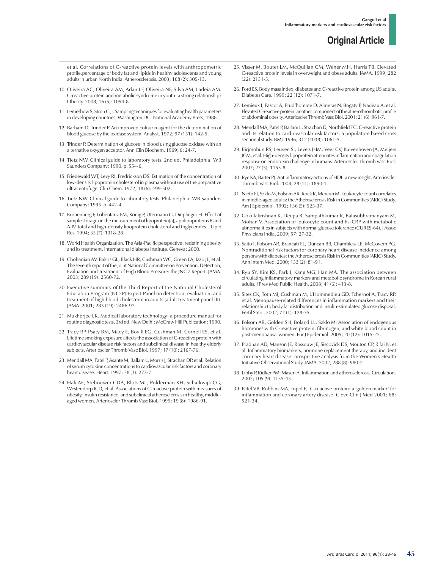et al. Correlations of C-reactive protein levels with anthropometric profile,percentage of body fat and lipids in healthy adolescents and young adults in urban North India. Atherosclerosis. 2003; 168 (2): 305-13.

- 10. Oliveira AC, Oliveira AM, Adan LF, Oliveira NF, Silva AM, Ladeia AM. C-reactive protein and metabolic syndrome in youth: a strong relationship? Obesity. 2008; 16 (5): 1094-8.
- 11. Lemeshow S, Stroh G Jr. Sampling techniques for evaluating health parameters in developing countries. Washington DC: National Academy Press; 1988.
- 12. Barham D, Trinder P. An improved colour reagent for the determination of blood glucose by the oxidase system. Analyst. 1972; 97 (151): 142-5.
- 13. Trinder P. Determination of glucose in blood using glucose oxidase with an alternative oxygen acceptor. Ann Clin Biochem. 1969; 6: 24-7.
- 14. Tietz NW. Clinical guide to laboratory tests. 2nd ed. Philadelphia: WB Saunders Company; 1990. p. 554-6.
- 15. Friedewald WT, Levy RI, Fredrickson DS. Estimation of the concentration of low-density lipoprotein cholesterol in plasma without use of the preparative ultracentrifuge. Clin Chem. 1972; 18 (6): 499-502.
- 16. Tietz NW. Clinical guide to laboratory tests. Philadelphia: WB Saunders Company; 1995. p. 442-4.
- 17. Kronenberg F, Lobentanz EM, Konig P, Utermann G, Dieplinger H. Effect of sample storage on the measurement of lipoprotein[a], apolipoproteins B and A-IV, total and high-density lipoprotein cholesterol and triglycerides. J Lipid Res. 1994; 35 (7): 1318-28.
- 18. World Health Organization. The Asia-Pacific perspective: redefining obesity and its treatment. International diabetes Institute. Geneva; 2000.
- 19. Chobanian AV, Bakris GL, Black HR, Cushman WC, Green LA, Izzo JL, et al. The seventh report of the Joint National Committee on Prevention, Detection, Evaluation and Treatment of High Blood Pressure: the JNC 7 Report. JAMA. 2003; 289 (19): 2560-72.
- 20. Executive summary of the Third Report of the National Cholesterol Education Program (NCEP) Expert Panel on detection, evaluation, and treatment of high blood cholesterol in adults (adult treatment panel III). JAMA. 2001; 285 (19): 2486-97.
- 21. Mukherjee LK. Medical laboratory technology: a procedure manual for routine diagnostic tests. 3rd ed. New Delhi: McGraw Hill Publication; 1990.
- 22. Tracy RP, Psaty BM, Macy E, Bovill EG, Cushman M, Cornell ES, et al. Lifetime smoking exposure affects the association of C-reactive protein with cardiovascular disease risk factors and subclinical disease in healthy elderly subjects. Arterioscler Thromb Vasc Biol. 1997; 17 (10): 2167-76.
- 23. Mendall MA, Patel P, Asante M, Ballam L, Morris J, Strachan DP, et al. Relation of serum cytokine concentrations to cardiovascular risk factors and coronary heart disease. Heart. 1997; 78 (3): 273-7.
- 24. Hak AE, Stehouwer CDA, Blots ML, Polderman KH, Schalkwijk CG, Westendorp ICD, et al. Associations of C-reactive protein with measures of obesity, insulin resistance, and subclinical atherosclerosis in healthy, middleaged women. Arterioscler Thromb Vasc Biol. 1999; 19 (8): 1986-91.
- 25. Visser M, Bouter LM, McQuillan GM, Wener MH, Harris TB. Elevated C-reactive protein levels in overweight and obese adults. JAMA. 1999; 282 (22): 2131-5.
- 26. Ford ES. Body mass index, diabetes and C-reactive protein among US adults. Diabetes Care. 1999; 22 (12): 1071-7.
- 27. Lemieux I, Pascot A, Prud'homme D, Almeras N, Bogaty P, Nadeau A, et al. Elevated C-reactive protein: another component of the atherothrombotic profile of abdominal obesity. Arterioscler Thromb Vasc Biol. 2001; 21 (6): 961-7.
- 28. Mendall MA, Patel P, Ballam L, Strachan D, Northfield TC. C-reactive protein and its relation to cardiovascular risk factors: a population based cross sectional study. BMJ. 1996; 312 (7038): 1061-5.
- 29. Birjmohun RS, Leuven SI, Levels JHM, Veer CV, Kuivenhoven JA, Meijers JCM, et al. High-density lipoprotein attenuates inflammation and coagulation response on endotoxin challenge in humans. Arterioscler Thromb Vasc Biol. 2007; 27 (5): 1153-8.
- 30. Rye KA, Barter PJ. Antiinflammatory actions of HDL:a new insight. Arterioscler Thromb Vasc Biol. 2008; 28 (11): 1890-1.
- 31. Nieto FJ, Szklo M, Folsom AR, Rock R, Mercuri M. Leukocyte count correlates in middle-aged adults: the Atherosclerosis Risk in Communities (ARIC) Study. Am J Epidemiol. 1992; 136 (5): 525-37.
- 32. Gokulakrishnan K, Deepa R, Sampathkumar R, Balasubhramanyam M, Mohan V. Association of leukocyte count and hs-CRP with metabolic abnormalities in subjects with normal glucose tolerance (CURES-64). J Assoc Physicians India. 2009; 57: 27-32.
- 33. Saito I, Folsom AR, Brancati FL, Duncan BB, Chambless LE, McGovern PG. Nontraditional risk factors for coronary heart disease incidence among persons with diabetes: the Atherosclerosis Risk in Communities (ARIC) Study. Ann Intern Med. 2000; 133 (2): 81-91.
- 34. Ryu SY, Kim KS, Park J, Kang MG, Han MA. The association between circulating inflammatory markers and metabolic syndrome in Korean rural adults. J Prev Med Public Health. 2008; 41 (6): 413-8.
- 35. Sites CK, Toth MJ, Cushman M, L'Hommedieu GD, Tchernof A, Tracy RP, et al. Menopause-related differences in inflammation markers and their relationship to body fat distribution and insulin-stimulated glucose disposal. Fertil Steril. 2002; 77 (1): 128-35.
- 36. Folsom AR, Golden SH, Boland LL, Szklo M. Association of endogenous hormones with C-reactive protein, fibrinogen, and white blood count in post-menopausal women. Eur J Epidemiol. 2005; 20 (12): 1015-22.
- 37. Pradhan AD, Manson JE, Rossouw JE, Siscovick DS, Mouton CP, Rifai N, et al. Inflammatory biomarkers, hormone replacement therapy, and incident coronary heart disease: prospective analysis from the Women's Health Initiative Observational Study. JAMA. 2002; 288 (8): 980-7.
- 38. Libby P, Ridker PM, Maseri A. Inflammation and atherosclerosis. Circulation. 2002; 105 (9): 1135-43.
- 39. Patel VB, Robbins MA, Topol EJ. C-reactive protein: a 'golden marker' for inflammation and coronary artery disease. Cleve Clin J Med 2001; 68: 521-34.